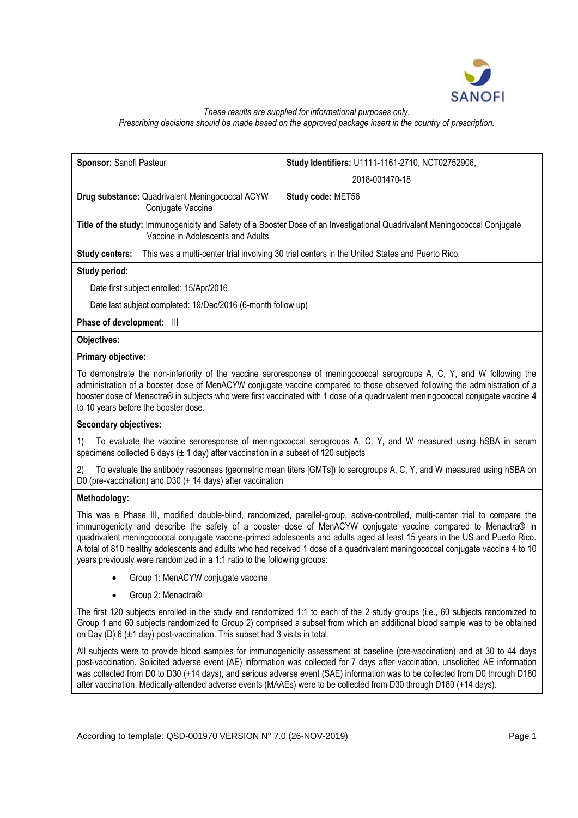

#### *These results are supplied for informational purposes only. Prescribing decisions should be made based on the approved package insert in the country of prescription.*

| <b>Sponsor: Sanofi Pasteur</b>                                                                                                                                  | Study Identifiers: U1111-1161-2710, NCT02752906, |  |  |  |
|-----------------------------------------------------------------------------------------------------------------------------------------------------------------|--------------------------------------------------|--|--|--|
|                                                                                                                                                                 | 2018-001470-18                                   |  |  |  |
| <b>Drug substance:</b> Quadrivalent Meningococcal ACYW<br>Conjugate Vaccine                                                                                     | Study code: MET56                                |  |  |  |
| Title of the study: Immunogenicity and Safety of a Booster Dose of an Investigational Quadrivalent Meningococcal Conjugate<br>Vaccine in Adolescents and Adults |                                                  |  |  |  |
| This was a multi-center trial involving 30 trial centers in the United States and Puerto Rico.<br>Study centers:                                                |                                                  |  |  |  |
| Study period:                                                                                                                                                   |                                                  |  |  |  |
| Date first subject enrolled: 15/Apr/2016                                                                                                                        |                                                  |  |  |  |
| Date last subject completed: 19/Dec/2016 (6-month follow up)                                                                                                    |                                                  |  |  |  |
| <b>Phase of development:</b> III                                                                                                                                |                                                  |  |  |  |

# **Objectives:**

# **Primary objective:**

To demonstrate the non-inferiority of the vaccine seroresponse of meningococcal serogroups A, C, Y, and W following the administration of a booster dose of MenACYW conjugate vaccine compared to those observed following the administration of a booster dose of Menactra® in subjects who were first vaccinated with 1 dose of a quadrivalent meningococcal conjugate vaccine 4 to 10 years before the booster dose.

# **Secondary objectives:**

1) To evaluate the vaccine seroresponse of meningococcal serogroups A, C, Y, and W measured using hSBA in serum specimens collected 6 days ( $\pm$  1 day) after vaccination in a subset of 120 subjects

2) To evaluate the antibody responses (geometric mean titers [GMTs]) to serogroups A, C, Y, and W measured using hSBA on D0 (pre-vaccination) and D30 (+ 14 days) after vaccination

# **Methodology:**

This was a Phase III, modified double-blind, randomized, parallel-group, active-controlled, multi-center trial to compare the immunogenicity and describe the safety of a booster dose of MenACYW conjugate vaccine compared to Menactra® in quadrivalent meningococcal conjugate vaccine-primed adolescents and adults aged at least 15 years in the US and Puerto Rico. A total of 810 healthy adolescents and adults who had received 1 dose of a quadrivalent meningococcal conjugate vaccine 4 to 10 years previously were randomized in a 1:1 ratio to the following groups:

- Group 1: MenACYW conjugate vaccine
- Group 2: Menactra®

The first 120 subjects enrolled in the study and randomized 1:1 to each of the 2 study groups (i.e., 60 subjects randomized to Group 1 and 60 subjects randomized to Group 2) comprised a subset from which an additional blood sample was to be obtained on Day (D)  $6$  ( $\pm$ 1 day) post-vaccination. This subset had 3 visits in total.

All subjects were to provide blood samples for immunogenicity assessment at baseline (pre-vaccination) and at 30 to 44 days post-vaccination. Solicited adverse event (AE) information was collected for 7 days after vaccination, unsolicited AE information was collected from D0 to D30 (+14 days), and serious adverse event (SAE) information was to be collected from D0 through D180 after vaccination. Medically-attended adverse events (MAAEs) were to be collected from D30 through D180 (+14 days).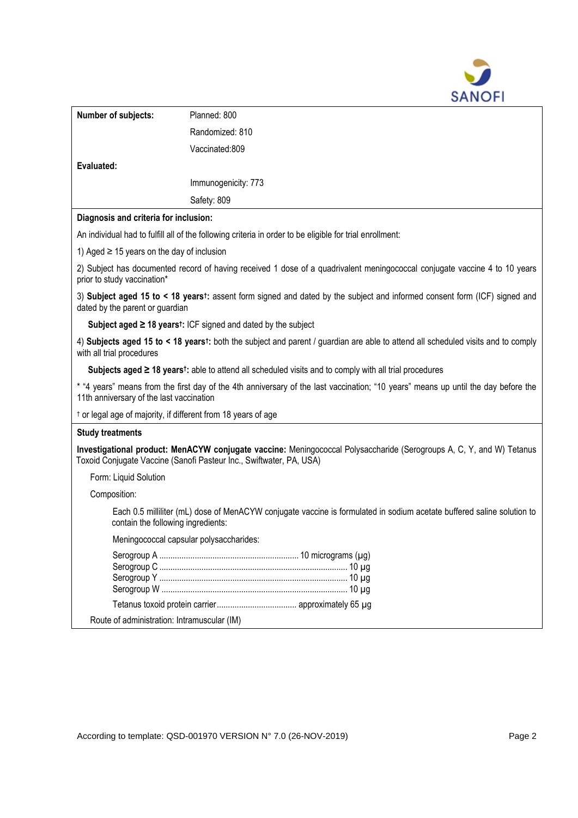

| Number of subjects:                                                                                                                                                                                                                                                                                         | Planned: 800                                                                                                                                                                                |  |  |  |  |
|-------------------------------------------------------------------------------------------------------------------------------------------------------------------------------------------------------------------------------------------------------------------------------------------------------------|---------------------------------------------------------------------------------------------------------------------------------------------------------------------------------------------|--|--|--|--|
|                                                                                                                                                                                                                                                                                                             | Randomized: 810                                                                                                                                                                             |  |  |  |  |
|                                                                                                                                                                                                                                                                                                             | Vaccinated:809                                                                                                                                                                              |  |  |  |  |
| Evaluated:                                                                                                                                                                                                                                                                                                  |                                                                                                                                                                                             |  |  |  |  |
|                                                                                                                                                                                                                                                                                                             | Immunogenicity: 773                                                                                                                                                                         |  |  |  |  |
|                                                                                                                                                                                                                                                                                                             | Safety: 809                                                                                                                                                                                 |  |  |  |  |
| Diagnosis and criteria for inclusion:                                                                                                                                                                                                                                                                       |                                                                                                                                                                                             |  |  |  |  |
| An individual had to fulfill all of the following criteria in order to be eligible for trial enrollment:                                                                                                                                                                                                    |                                                                                                                                                                                             |  |  |  |  |
| 1) Aged $\geq$ 15 years on the day of inclusion                                                                                                                                                                                                                                                             |                                                                                                                                                                                             |  |  |  |  |
| 2) Subject has documented record of having received 1 dose of a quadrivalent meningococcal conjugate vaccine 4 to 10 years<br>prior to study vaccination*                                                                                                                                                   |                                                                                                                                                                                             |  |  |  |  |
| 3) Subject aged 15 to < 18 yearst: assent form signed and dated by the subject and informed consent form (ICF) signed and<br>dated by the parent or guardian                                                                                                                                                |                                                                                                                                                                                             |  |  |  |  |
| Subject aged $\geq$ 18 years <sup>t</sup> : ICF signed and dated by the subject                                                                                                                                                                                                                             |                                                                                                                                                                                             |  |  |  |  |
| 4) Subjects aged 15 to < 18 yearst: both the subject and parent / guardian are able to attend all scheduled visits and to comply<br>with all trial procedures                                                                                                                                               |                                                                                                                                                                                             |  |  |  |  |
|                                                                                                                                                                                                                                                                                                             | Subjects aged $\geq$ 18 yearst: able to attend all scheduled visits and to comply with all trial procedures                                                                                 |  |  |  |  |
| * "4 years" means from the first day of the 4th anniversary of the last vaccination; "10 years" means up until the day before the<br>11th anniversary of the last vaccination                                                                                                                               |                                                                                                                                                                                             |  |  |  |  |
|                                                                                                                                                                                                                                                                                                             | <sup>t</sup> or legal age of majority, if different from 18 years of age                                                                                                                    |  |  |  |  |
| <b>Study treatments</b>                                                                                                                                                                                                                                                                                     |                                                                                                                                                                                             |  |  |  |  |
|                                                                                                                                                                                                                                                                                                             | Investigational product: MenACYW conjugate vaccine: Meningococcal Polysaccharide (Serogroups A, C, Y, and W) Tetanus<br>Toxoid Conjugate Vaccine (Sanofi Pasteur Inc., Swiftwater, PA, USA) |  |  |  |  |
| Form: Liquid Solution                                                                                                                                                                                                                                                                                       |                                                                                                                                                                                             |  |  |  |  |
| Composition:                                                                                                                                                                                                                                                                                                |                                                                                                                                                                                             |  |  |  |  |
| Each 0.5 milliliter (mL) dose of MenACYW conjugate vaccine is formulated in sodium acetate buffered saline solution to<br>contain the following ingredients:                                                                                                                                                |                                                                                                                                                                                             |  |  |  |  |
|                                                                                                                                                                                                                                                                                                             | Meningococcal capsular polysaccharides:                                                                                                                                                     |  |  |  |  |
|                                                                                                                                                                                                                                                                                                             |                                                                                                                                                                                             |  |  |  |  |
|                                                                                                                                                                                                                                                                                                             |                                                                                                                                                                                             |  |  |  |  |
| $\mathbf{r}$ , $\mathbf{r}$ , $\mathbf{r}$ , $\mathbf{r}$ , $\mathbf{r}$ , $\mathbf{r}$ , $\mathbf{r}$ , $\mathbf{r}$ , $\mathbf{r}$ , $\mathbf{r}$ , $\mathbf{r}$ , $\mathbf{r}$ , $\mathbf{r}$ , $\mathbf{r}$ , $\mathbf{r}$ , $\mathbf{r}$ , $\mathbf{r}$ , $\mathbf{r}$ , $\mathbf{r}$ , $\mathbf{r}$ , |                                                                                                                                                                                             |  |  |  |  |

Route of administration: Intramuscular (IM)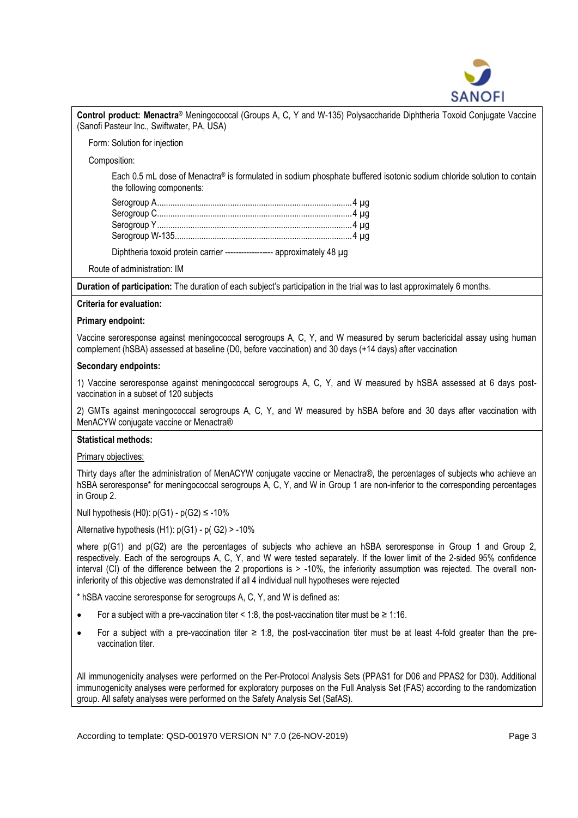

**Control product: Menactra®** Meningococcal (Groups A, C, Y and W-135) Polysaccharide Diphtheria Toxoid Conjugate Vaccine (Sanofi Pasteur Inc., Swiftwater, PA, USA)

Form: Solution for injection

Composition:

Each 0.5 mL dose of Menactra® is formulated in sodium phosphate buffered isotonic sodium chloride solution to contain the following components:

| Diphtheria toxoid protein carrier ------------------ approximately 48 µg |
|--------------------------------------------------------------------------|

Route of administration: IM

**Duration of participation:** The duration of each subject's participation in the trial was to last approximately 6 months.

# **Criteria for evaluation:**

#### **Primary endpoint:**

Vaccine seroresponse against meningococcal serogroups A, C, Y, and W measured by serum bactericidal assay using human complement (hSBA) assessed at baseline (D0, before vaccination) and 30 days (+14 days) after vaccination

#### **Secondary endpoints:**

1) Vaccine seroresponse against meningococcal serogroups A, C, Y, and W measured by hSBA assessed at 6 days postvaccination in a subset of 120 subjects

2) GMTs against meningococcal serogroups A, C, Y, and W measured by hSBA before and 30 days after vaccination with MenACYW conjugate vaccine or Menactra®

#### **Statistical methods:**

#### Primary objectives:

Thirty days after the administration of MenACYW conjugate vaccine or Menactra® , the percentages of subjects who achieve an hSBA seroresponse<sup>\*</sup> for meningococcal serogroups A, C, Y, and W in Group 1 are non-inferior to the corresponding percentages in Group 2.

Null hypothesis (H0):  $p(G1) - p(G2) \le -10\%$ 

Alternative hypothesis (H1): p(G1) - p( G2) > -10%

where p(G1) and p(G2) are the percentages of subjects who achieve an hSBA seroresponse in Group 1 and Group 2, respectively. Each of the serogroups A, C, Y, and W were tested separately. If the lower limit of the 2-sided 95% confidence interval (CI) of the difference between the 2 proportions is > -10%, the inferiority assumption was rejected. The overall noninferiority of this objective was demonstrated if all 4 individual null hypotheses were rejected

\* hSBA vaccine seroresponse for serogroups A, C, Y, and W is defined as:

- For a subject with a pre-vaccination titer  $\lt 1:8$ , the post-vaccination titer must be  $\ge 1:16$ .
- For a subject with a pre-vaccination titer  $\geq 1:8$ , the post-vaccination titer must be at least 4-fold greater than the prevaccination titer.

All immunogenicity analyses were performed on the Per-Protocol Analysis Sets (PPAS1 for D06 and PPAS2 for D30). Additional immunogenicity analyses were performed for exploratory purposes on the Full Analysis Set (FAS) according to the randomization group. All safety analyses were performed on the Safety Analysis Set (SafAS).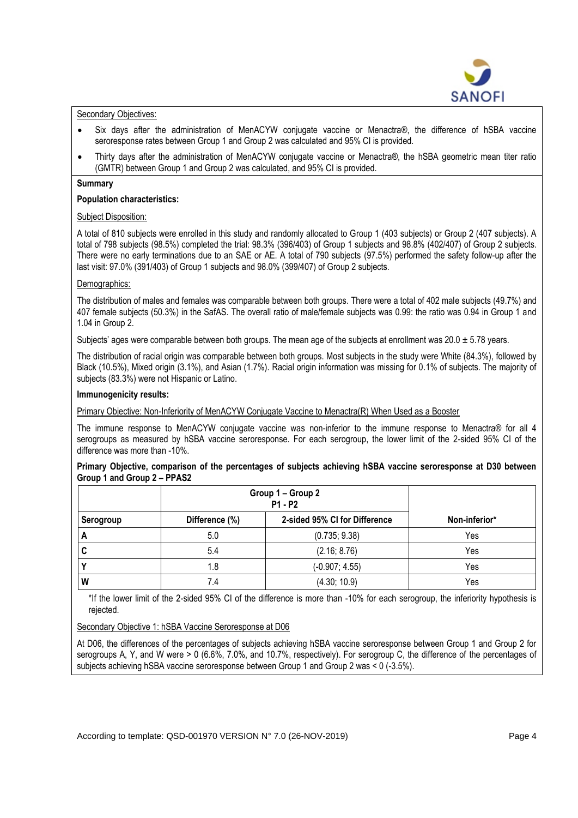

# Secondary Objectives:

- Six days after the administration of MenACYW conjugate vaccine or Menactra®, the difference of hSBA vaccine seroresponse rates between Group 1 and Group 2 was calculated and 95% CI is provided.
- Thirty days after the administration of MenACYW conjugate vaccine or Menactra® , the hSBA geometric mean titer ratio (GMTR) between Group 1 and Group 2 was calculated, and 95% CI is provided.

## **Summary**

## **Population characteristics:**

## **Subject Disposition:**

A total of 810 subjects were enrolled in this study and randomly allocated to Group 1 (403 subjects) or Group 2 (407 subjects). A total of 798 subjects (98.5%) completed the trial: 98.3% (396/403) of Group 1 subjects and 98.8% (402/407) of Group 2 subjects. There were no early terminations due to an SAE or AE. A total of 790 subjects (97.5%) performed the safety follow-up after the last visit: 97.0% (391/403) of Group 1 subjects and 98.0% (399/407) of Group 2 subjects.

## Demographics:

The distribution of males and females was comparable between both groups. There were a total of 402 male subjects (49.7%) and 407 female subjects (50.3%) in the SafAS. The overall ratio of male/female subjects was 0.99: the ratio was 0.94 in Group 1 and 1.04 in Group 2.

Subjects' ages were comparable between both groups. The mean age of the subjects at enrollment was  $20.0 \pm 5.78$  years.

The distribution of racial origin was comparable between both groups. Most subjects in the study were White (84.3%), followed by Black (10.5%), Mixed origin (3.1%), and Asian (1.7%). Racial origin information was missing for 0.1% of subjects. The majority of subjects (83.3%) were not Hispanic or Latino.

## **Immunogenicity results:**

Primary Objective: Non-Inferiority of MenACYW Conjugate Vaccine to Menactra(R) When Used as a Booster

The immune response to MenACYW conjugate vaccine was non-inferior to the immune response to Menactra® for all 4 serogroups as measured by hSBA vaccine seroresponse. For each serogroup, the lower limit of the 2-sided 95% CI of the difference was more than -10%.

# **Primary Objective, comparison of the percentages of subjects achieving hSBA vaccine seroresponse at D30 between Group 1 and Group 2 – PPAS2**

|           | Group 1 - Group 2<br><b>P1 - P2</b> |                               |               |
|-----------|-------------------------------------|-------------------------------|---------------|
| Serogroup | Difference (%)                      | 2-sided 95% CI for Difference | Non-inferior* |
| A         | 5.0                                 | (0.735; 9.38)                 | Yes           |
| C         | 5.4                                 | (2.16; 8.76)                  | Yes           |
|           | 1.8                                 | $(-0.907; 4.55)$              | Yes           |
| W         | 7.4                                 | (4.30; 10.9)                  | Yes           |

\*If the lower limit of the 2-sided 95% CI of the difference is more than -10% for each serogroup, the inferiority hypothesis is rejected.

Secondary Objective 1: hSBA Vaccine Seroresponse at D06

At D06, the differences of the percentages of subjects achieving hSBA vaccine seroresponse between Group 1 and Group 2 for serogroups A, Y, and W were > 0 (6.6%, 7.0%, and 10.7%, respectively). For serogroup C, the difference of the percentages of subjects achieving hSBA vaccine seroresponse between Group 1 and Group 2 was < 0 (-3.5%).